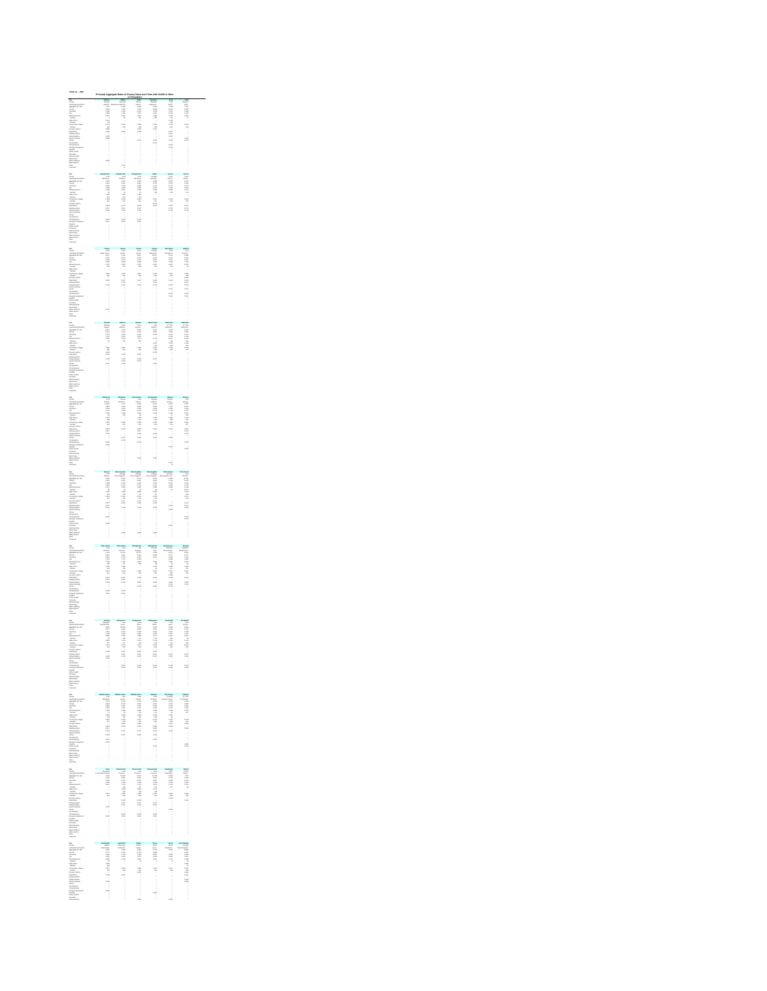|                                                                                                                                                                                                                                |                                                                                                                                                                                                                                |  | and and all contributions and all and analysis and any contribution of the contribution of the contribution of the contribution of the contribution of the contribution of the contribution of the contribution of the contri      |  |
|--------------------------------------------------------------------------------------------------------------------------------------------------------------------------------------------------------------------------------|--------------------------------------------------------------------------------------------------------------------------------------------------------------------------------------------------------------------------------|--|------------------------------------------------------------------------------------------------------------------------------------------------------------------------------------------------------------------------------------|--|
|                                                                                                                                                                                                                                |                                                                                                                                                                                                                                |  |                                                                                                                                                                                                                                    |  |
|                                                                                                                                                                                                                                |                                                                                                                                                                                                                                |  |                                                                                                                                                                                                                                    |  |
|                                                                                                                                                                                                                                |                                                                                                                                                                                                                                |  |                                                                                                                                                                                                                                    |  |
|                                                                                                                                                                                                                                | المستقادة والمستقاد والمستقار والمستقار والمستقار والمستقار والمستقار والمستقار والمستقار والمستقار والمستقار والمستقار والمستقار والمستقار والمستقار والمستقار والمستقار والمستقار والمستقار والمستقار والمستقار والمستقار وا |  | $\frac{1}{2}$                                                                                                                                                                                                                      |  |
|                                                                                                                                                                                                                                |                                                                                                                                                                                                                                |  |                                                                                                                                                                                                                                    |  |
|                                                                                                                                                                                                                                |                                                                                                                                                                                                                                |  |                                                                                                                                                                                                                                    |  |
|                                                                                                                                                                                                                                |                                                                                                                                                                                                                                |  |                                                                                                                                                                                                                                    |  |
|                                                                                                                                                                                                                                |                                                                                                                                                                                                                                |  |                                                                                                                                                                                                                                    |  |
|                                                                                                                                                                                                                                |                                                                                                                                                                                                                                |  |                                                                                                                                                                                                                                    |  |
|                                                                                                                                                                                                                                |                                                                                                                                                                                                                                |  |                                                                                                                                                                                                                                    |  |
|                                                                                                                                                                                                                                |                                                                                                                                                                                                                                |  |                                                                                                                                                                                                                                    |  |
|                                                                                                                                                                                                                                |                                                                                                                                                                                                                                |  |                                                                                                                                                                                                                                    |  |
|                                                                                                                                                                                                                                |                                                                                                                                                                                                                                |  |                                                                                                                                                                                                                                    |  |
|                                                                                                                                                                                                                                |                                                                                                                                                                                                                                |  |                                                                                                                                                                                                                                    |  |
|                                                                                                                                                                                                                                |                                                                                                                                                                                                                                |  |                                                                                                                                                                                                                                    |  |
|                                                                                                                                                                                                                                |                                                                                                                                                                                                                                |  |                                                                                                                                                                                                                                    |  |
|                                                                                                                                                                                                                                |                                                                                                                                                                                                                                |  |                                                                                                                                                                                                                                    |  |
|                                                                                                                                                                                                                                |                                                                                                                                                                                                                                |  |                                                                                                                                                                                                                                    |  |
|                                                                                                                                                                                                                                |                                                                                                                                                                                                                                |  |                                                                                                                                                                                                                                    |  |
|                                                                                                                                                                                                                                |                                                                                                                                                                                                                                |  |                                                                                                                                                                                                                                    |  |
|                                                                                                                                                                                                                                |                                                                                                                                                                                                                                |  |                                                                                                                                                                                                                                    |  |
|                                                                                                                                                                                                                                |                                                                                                                                                                                                                                |  |                                                                                                                                                                                                                                    |  |
|                                                                                                                                                                                                                                |                                                                                                                                                                                                                                |  |                                                                                                                                                                                                                                    |  |
|                                                                                                                                                                                                                                |                                                                                                                                                                                                                                |  |                                                                                                                                                                                                                                    |  |
|                                                                                                                                                                                                                                |                                                                                                                                                                                                                                |  |                                                                                                                                                                                                                                    |  |
|                                                                                                                                                                                                                                |                                                                                                                                                                                                                                |  |                                                                                                                                                                                                                                    |  |
|                                                                                                                                                                                                                                |                                                                                                                                                                                                                                |  |                                                                                                                                                                                                                                    |  |
| The comparation of the comparation absolution absolute the comparation of the comparation of the comparation absolution absolution in the comparation of the comparation of the comparation of the comparation of the comparat | 1999 1999 1999 1999 1999 1999 1999 1999 1999 1999 1999 1999 1999 1999 1999 1999 1999 1999 1999 1999 1999 1999 1                                                                                                                |  | <b>Administration</b> of the state of the contract of the contract of the contract of the contract of the contract of the contract of the contract of the contract of the contract of the contract of the contract of the contract |  |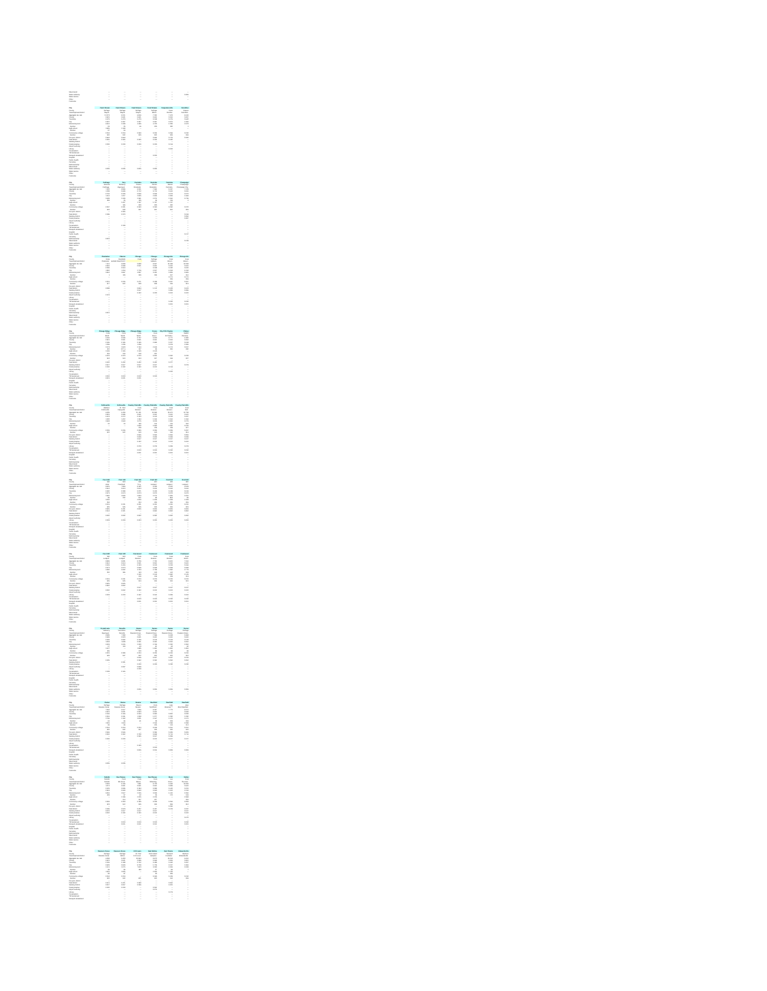|                                                                                          |                                                                                                                          |                                                                                                      |                                                                                                                                                                                                                                   |                                                                                                                                                                                                                                | Ì |
|------------------------------------------------------------------------------------------|--------------------------------------------------------------------------------------------------------------------------|------------------------------------------------------------------------------------------------------|-----------------------------------------------------------------------------------------------------------------------------------------------------------------------------------------------------------------------------------|--------------------------------------------------------------------------------------------------------------------------------------------------------------------------------------------------------------------------------|---|
|                                                                                          |                                                                                                                          |                                                                                                      |                                                                                                                                                                                                                                   |                                                                                                                                                                                                                                |   |
|                                                                                          |                                                                                                                          |                                                                                                      |                                                                                                                                                                                                                                   |                                                                                                                                                                                                                                |   |
|                                                                                          |                                                                                                                          |                                                                                                      |                                                                                                                                                                                                                                   |                                                                                                                                                                                                                                |   |
|                                                                                          |                                                                                                                          |                                                                                                      |                                                                                                                                                                                                                                   |                                                                                                                                                                                                                                |   |
|                                                                                          |                                                                                                                          | 【《金融总统集》》第1979年12月12日,1989年,《唐唐·金融通道》第1989年12月12日,1989年,《金融通道》第1989年12月20日,《金融通道》第1989年,1989年12月12日, |                                                                                                                                                                                                                                   |                                                                                                                                                                                                                                |   |
|                                                                                          |                                                                                                                          |                                                                                                      |                                                                                                                                                                                                                                   |                                                                                                                                                                                                                                |   |
|                                                                                          |                                                                                                                          |                                                                                                      |                                                                                                                                                                                                                                   |                                                                                                                                                                                                                                |   |
|                                                                                          |                                                                                                                          |                                                                                                      |                                                                                                                                                                                                                                   |                                                                                                                                                                                                                                |   |
|                                                                                          |                                                                                                                          |                                                                                                      |                                                                                                                                                                                                                                   |                                                                                                                                                                                                                                |   |
|                                                                                          |                                                                                                                          |                                                                                                      |                                                                                                                                                                                                                                   |                                                                                                                                                                                                                                |   |
|                                                                                          |                                                                                                                          |                                                                                                      |                                                                                                                                                                                                                                   |                                                                                                                                                                                                                                |   |
|                                                                                          |                                                                                                                          |                                                                                                      |                                                                                                                                                                                                                                   |                                                                                                                                                                                                                                |   |
|                                                                                          |                                                                                                                          |                                                                                                      |                                                                                                                                                                                                                                   |                                                                                                                                                                                                                                |   |
|                                                                                          |                                                                                                                          |                                                                                                      |                                                                                                                                                                                                                                   |                                                                                                                                                                                                                                |   |
|                                                                                          |                                                                                                                          |                                                                                                      |                                                                                                                                                                                                                                   |                                                                                                                                                                                                                                |   |
|                                                                                          |                                                                                                                          |                                                                                                      |                                                                                                                                                                                                                                   |                                                                                                                                                                                                                                |   |
|                                                                                          |                                                                                                                          |                                                                                                      |                                                                                                                                                                                                                                   |                                                                                                                                                                                                                                |   |
|                                                                                          |                                                                                                                          |                                                                                                      |                                                                                                                                                                                                                                   |                                                                                                                                                                                                                                |   |
|                                                                                          |                                                                                                                          |                                                                                                      |                                                                                                                                                                                                                                   |                                                                                                                                                                                                                                |   |
|                                                                                          |                                                                                                                          |                                                                                                      |                                                                                                                                                                                                                                   |                                                                                                                                                                                                                                |   |
|                                                                                          |                                                                                                                          |                                                                                                      |                                                                                                                                                                                                                                   |                                                                                                                                                                                                                                |   |
|                                                                                          |                                                                                                                          |                                                                                                      |                                                                                                                                                                                                                                   |                                                                                                                                                                                                                                |   |
|                                                                                          |                                                                                                                          |                                                                                                      |                                                                                                                                                                                                                                   |                                                                                                                                                                                                                                |   |
|                                                                                          |                                                                                                                          |                                                                                                      |                                                                                                                                                                                                                                   |                                                                                                                                                                                                                                |   |
|                                                                                          |                                                                                                                          |                                                                                                      |                                                                                                                                                                                                                                   |                                                                                                                                                                                                                                |   |
|                                                                                          |                                                                                                                          |                                                                                                      |                                                                                                                                                                                                                                   |                                                                                                                                                                                                                                |   |
|                                                                                          |                                                                                                                          |                                                                                                      |                                                                                                                                                                                                                                   |                                                                                                                                                                                                                                |   |
|                                                                                          |                                                                                                                          |                                                                                                      |                                                                                                                                                                                                                                   |                                                                                                                                                                                                                                |   |
|                                                                                          |                                                                                                                          |                                                                                                      |                                                                                                                                                                                                                                   |                                                                                                                                                                                                                                |   |
| TEPPERTURE TERPERTURE TEPPERTURE TEPPERTURE TERPERTURE TERPERTURE TERRESTER TERRESTER TE | للفسيطينية والمسار المستوار والمستقر والمستقر والمستقر والمستوات والمستوات والمستقر والمستقر والمستقر والمستقر والمستقرر |                                                                                                      | $\alpha$ , the contribution of the contribution of the contribution of the contribution of the contribution of the contribution of the contribution of the contribution of the contribution of the contribution of the contributi | alimnos and contract the second material and contract the contract of the second contract of the second second second second second second second second second second second second second second second second second second |   |
|                                                                                          |                                                                                                                          |                                                                                                      |                                                                                                                                                                                                                                   |                                                                                                                                                                                                                                |   |
|                                                                                          |                                                                                                                          |                                                                                                      |                                                                                                                                                                                                                                   |                                                                                                                                                                                                                                |   |
|                                                                                          |                                                                                                                          |                                                                                                      |                                                                                                                                                                                                                                   |                                                                                                                                                                                                                                |   |
|                                                                                          |                                                                                                                          |                                                                                                      |                                                                                                                                                                                                                                   |                                                                                                                                                                                                                                |   |
|                                                                                          |                                                                                                                          |                                                                                                      |                                                                                                                                                                                                                                   |                                                                                                                                                                                                                                |   |
|                                                                                          |                                                                                                                          |                                                                                                      |                                                                                                                                                                                                                                   |                                                                                                                                                                                                                                |   |
|                                                                                          |                                                                                                                          |                                                                                                      |                                                                                                                                                                                                                                   |                                                                                                                                                                                                                                |   |
|                                                                                          |                                                                                                                          |                                                                                                      |                                                                                                                                                                                                                                   |                                                                                                                                                                                                                                |   |
|                                                                                          |                                                                                                                          |                                                                                                      |                                                                                                                                                                                                                                   |                                                                                                                                                                                                                                |   |
|                                                                                          |                                                                                                                          |                                                                                                      |                                                                                                                                                                                                                                   |                                                                                                                                                                                                                                |   |
|                                                                                          |                                                                                                                          |                                                                                                      |                                                                                                                                                                                                                                   |                                                                                                                                                                                                                                |   |
|                                                                                          |                                                                                                                          |                                                                                                      |                                                                                                                                                                                                                                   |                                                                                                                                                                                                                                |   |
|                                                                                          |                                                                                                                          |                                                                                                      |                                                                                                                                                                                                                                   |                                                                                                                                                                                                                                |   |
|                                                                                          |                                                                                                                          |                                                                                                      |                                                                                                                                                                                                                                   |                                                                                                                                                                                                                                |   |
|                                                                                          |                                                                                                                          |                                                                                                      |                                                                                                                                                                                                                                   |                                                                                                                                                                                                                                |   |
|                                                                                          |                                                                                                                          |                                                                                                      |                                                                                                                                                                                                                                   |                                                                                                                                                                                                                                |   |
|                                                                                          |                                                                                                                          |                                                                                                      |                                                                                                                                                                                                                                   |                                                                                                                                                                                                                                |   |
|                                                                                          |                                                                                                                          |                                                                                                      |                                                                                                                                                                                                                                   |                                                                                                                                                                                                                                |   |
|                                                                                          |                                                                                                                          |                                                                                                      |                                                                                                                                                                                                                                   |                                                                                                                                                                                                                                |   |
|                                                                                          |                                                                                                                          |                                                                                                      |                                                                                                                                                                                                                                   |                                                                                                                                                                                                                                |   |
|                                                                                          |                                                                                                                          |                                                                                                      |                                                                                                                                                                                                                                   |                                                                                                                                                                                                                                |   |
|                                                                                          |                                                                                                                          |                                                                                                      |                                                                                                                                                                                                                                   |                                                                                                                                                                                                                                |   |
|                                                                                          |                                                                                                                          |                                                                                                      |                                                                                                                                                                                                                                   |                                                                                                                                                                                                                                |   |
|                                                                                          |                                                                                                                          |                                                                                                      |                                                                                                                                                                                                                                   |                                                                                                                                                                                                                                |   |
|                                                                                          |                                                                                                                          |                                                                                                      |                                                                                                                                                                                                                                   |                                                                                                                                                                                                                                |   |
|                                                                                          |                                                                                                                          |                                                                                                      |                                                                                                                                                                                                                                   |                                                                                                                                                                                                                                |   |
|                                                                                          |                                                                                                                          |                                                                                                      |                                                                                                                                                                                                                                   |                                                                                                                                                                                                                                |   |
|                                                                                          |                                                                                                                          |                                                                                                      |                                                                                                                                                                                                                                   |                                                                                                                                                                                                                                |   |
|                                                                                          |                                                                                                                          |                                                                                                      |                                                                                                                                                                                                                                   |                                                                                                                                                                                                                                |   |
|                                                                                          |                                                                                                                          |                                                                                                      |                                                                                                                                                                                                                                   |                                                                                                                                                                                                                                |   |
|                                                                                          | 1989年1999年1999年19月19日,1999年19月19日,1999年19月19日,1999年19月19日,1999年19月19日,1999年19月19日,1999年1999年1999年199                     |                                                                                                      |                                                                                                                                                                                                                                   |                                                                                                                                                                                                                                |   |
|                                                                                          |                                                                                                                          |                                                                                                      |                                                                                                                                                                                                                                   |                                                                                                                                                                                                                                |   |
|                                                                                          |                                                                                                                          |                                                                                                      |                                                                                                                                                                                                                                   |                                                                                                                                                                                                                                |   |
|                                                                                          |                                                                                                                          |                                                                                                      |                                                                                                                                                                                                                                   |                                                                                                                                                                                                                                |   |
|                                                                                          |                                                                                                                          |                                                                                                      |                                                                                                                                                                                                                                   |                                                                                                                                                                                                                                |   |
|                                                                                          |                                                                                                                          |                                                                                                      |                                                                                                                                                                                                                                   |                                                                                                                                                                                                                                |   |
|                                                                                          |                                                                                                                          |                                                                                                      |                                                                                                                                                                                                                                   |                                                                                                                                                                                                                                |   |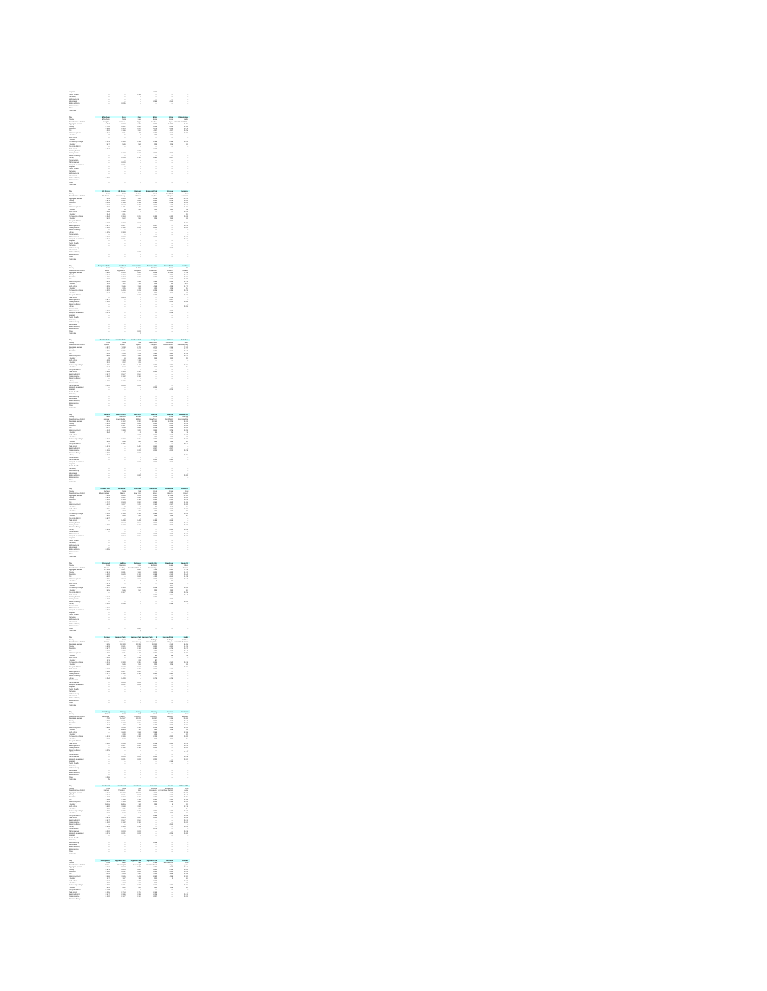| 2017,用的机能拉出来,而且在这里的时候,用的机能拉出来,也可以把它们的时候,而且也可以把它们的时候,而且也可以把它们的时候,而且 | нанной пользований колоном соверший пользований пользований пользований пользований пользований пользований пол | الشششة والمسابر المستقار المستقر والمستقر والمستقر والمسابق والمستقر والمستقر المستقر والمسابر والمستقر والمستقرر والمستقرر والمسابر |  |                                                                                                                                                                                                                                |  |
|--------------------------------------------------------------------|-----------------------------------------------------------------------------------------------------------------|--------------------------------------------------------------------------------------------------------------------------------------|--|--------------------------------------------------------------------------------------------------------------------------------------------------------------------------------------------------------------------------------|--|
|                                                                    |                                                                                                                 |                                                                                                                                      |  |                                                                                                                                                                                                                                |  |
|                                                                    |                                                                                                                 |                                                                                                                                      |  |                                                                                                                                                                                                                                |  |
|                                                                    |                                                                                                                 |                                                                                                                                      |  |                                                                                                                                                                                                                                |  |
|                                                                    |                                                                                                                 |                                                                                                                                      |  |                                                                                                                                                                                                                                |  |
|                                                                    |                                                                                                                 |                                                                                                                                      |  |                                                                                                                                                                                                                                |  |
|                                                                    |                                                                                                                 |                                                                                                                                      |  |                                                                                                                                                                                                                                |  |
|                                                                    |                                                                                                                 |                                                                                                                                      |  | NOTES TO A SECOND CONTRACTOR OF THE SECOND CONTRACT OF THE SECOND CONTRACT OF THE SECOND CONTRACT OF THE SECOND CONTRACT OF THE SECOND CONTRACT OF THE SECOND CONTRACT OF THE SECOND CONTRACT OF THE SECOND CONTRACT OF THE SE |  |
|                                                                    |                                                                                                                 |                                                                                                                                      |  |                                                                                                                                                                                                                                |  |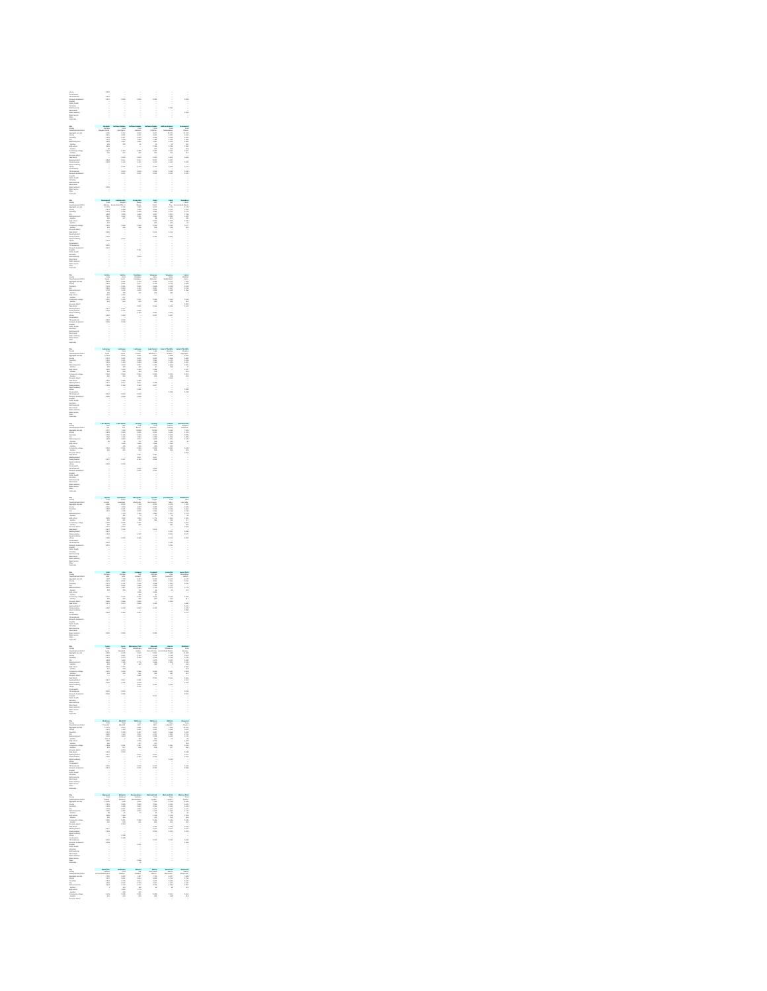| "可","那事的时候!""那种那种可以,"那种那种可以,""那种是我的人,""那种是我的人,我们的人,我们的人,我们的人,我们的人,我们的人。""我们的人,你 |                                                                                                                    |                                                                                                                                                                                                                                                                                                                     | 를 통증 유명 기본 등 이 정말 및 일 등 및 이 시설 및 이 시설 및 이 시설 및 이 시설 및 이 시설 및 이 시설 및 이 시설 및 이 시설 및 이 시설 및 이 시설 및 이 시설 및 이 시설 및 시<br>를 통증 용도 및 이 기본 및 이 시설 및 이 시설 및 이 시설 및 이 시설 및 이 시설 및 이 시설 및 이 시설 및 이 시설 및 이 시설 및 이 시설 및 이 시설 및 이 시설 및 이 시설 및 |                                                                                                                                                                                                                                 |  |
|---------------------------------------------------------------------------------|--------------------------------------------------------------------------------------------------------------------|---------------------------------------------------------------------------------------------------------------------------------------------------------------------------------------------------------------------------------------------------------------------------------------------------------------------|--------------------------------------------------------------------------------------------------------------------------------------------------------------------------------------------------------------------------------|---------------------------------------------------------------------------------------------------------------------------------------------------------------------------------------------------------------------------------|--|
|                                                                                 |                                                                                                                    |                                                                                                                                                                                                                                                                                                                     |                                                                                                                                                                                                                                |                                                                                                                                                                                                                                 |  |
|                                                                                 |                                                                                                                    | $\frac{1}{2}$ $\frac{1}{2}$ $\frac{1}{2}$ $\frac{1}{2}$ $\frac{1}{2}$ $\frac{1}{2}$ $\frac{1}{2}$ $\frac{1}{2}$ $\frac{1}{2}$ $\frac{1}{2}$ $\frac{1}{2}$ $\frac{1}{2}$ $\frac{1}{2}$ $\frac{1}{2}$ $\frac{1}{2}$ $\frac{1}{2}$ $\frac{1}{2}$ $\frac{1}{2}$ $\frac{1}{2}$ $\frac{1}{2}$ $\frac{1}{2}$ $\frac{1}{2}$ |                                                                                                                                                                                                                                |                                                                                                                                                                                                                                 |  |
|                                                                                 |                                                                                                                    | 1999年,1999年,1999年,1999年,1999年,1999年,1999年,1999年,1999年,1999年,1999年,1999年,1999年,1999年,1999年,1999年,1999                                                                                                                                                                                                                |                                                                                                                                                                                                                                |                                                                                                                                                                                                                                 |  |
|                                                                                 |                                                                                                                    | $\frac{1}{2}$ $\frac{1}{2}$ $\frac{1}{2}$ $\frac{1}{2}$ $\frac{1}{2}$ $\frac{1}{2}$ $\frac{1}{2}$ $\frac{1}{2}$ $\frac{1}{2}$ $\frac{1}{2}$ $\frac{1}{2}$ $\frac{1}{2}$ $\frac{1}{2}$ $\frac{1}{2}$ $\frac{1}{2}$ $\frac{1}{2}$ $\frac{1}{2}$ $\frac{1}{2}$ $\frac{1}{2}$ $\frac{1}{2}$ $\frac{1}{2}$ $\frac{1}{2}$ |                                                                                                                                                                                                                                | 1989 - 1989 - 1989 - 1989 - 1989 - 1980 - 1980 - 1980 - 1980 - 1980 - 1980 - 1980 - 1980 - 1980 - 1980 - 1980 - 1980 - 1980 - 1980 - 1980 - 1980 - 1980 - 1980 - 1980 - 1980 - 1980 - 1980 - 1980 - 1980 - 1980 - 1980 - 1980 - |  |
|                                                                                 |                                                                                                                    |                                                                                                                                                                                                                                                                                                                     |                                                                                                                                                                                                                                |                                                                                                                                                                                                                                 |  |
|                                                                                 | an a shekara a shekara a shekara a shekara a shekara a shekara ta shekara a shekara a shekara a shekara ta shekara |                                                                                                                                                                                                                                                                                                                     | atomidi anamala anamala anamala anamala anamala anamala amin'ny fivondronan-kaominina amin'ny fivondronan-kaomi                                                                                                                | 1999年8月11日,1999年11月,1999年11月,1999年11月,1999年11月,1999年11月,1999年11月,1999年11月,11月11日,11月11日,11月11日,11月11日,11月11日,1                                                                                                                  |  |
|                                                                                 |                                                                                                                    |                                                                                                                                                                                                                                                                                                                     |                                                                                                                                                                                                                                |                                                                                                                                                                                                                                 |  |
| alam akan akan mahilimin akan ya mahilimin akan a                               |                                                                                                                    |                                                                                                                                                                                                                                                                                                                     |                                                                                                                                                                                                                                |                                                                                                                                                                                                                                 |  |
|                                                                                 |                                                                                                                    |                                                                                                                                                                                                                                                                                                                     |                                                                                                                                                                                                                                |                                                                                                                                                                                                                                 |  |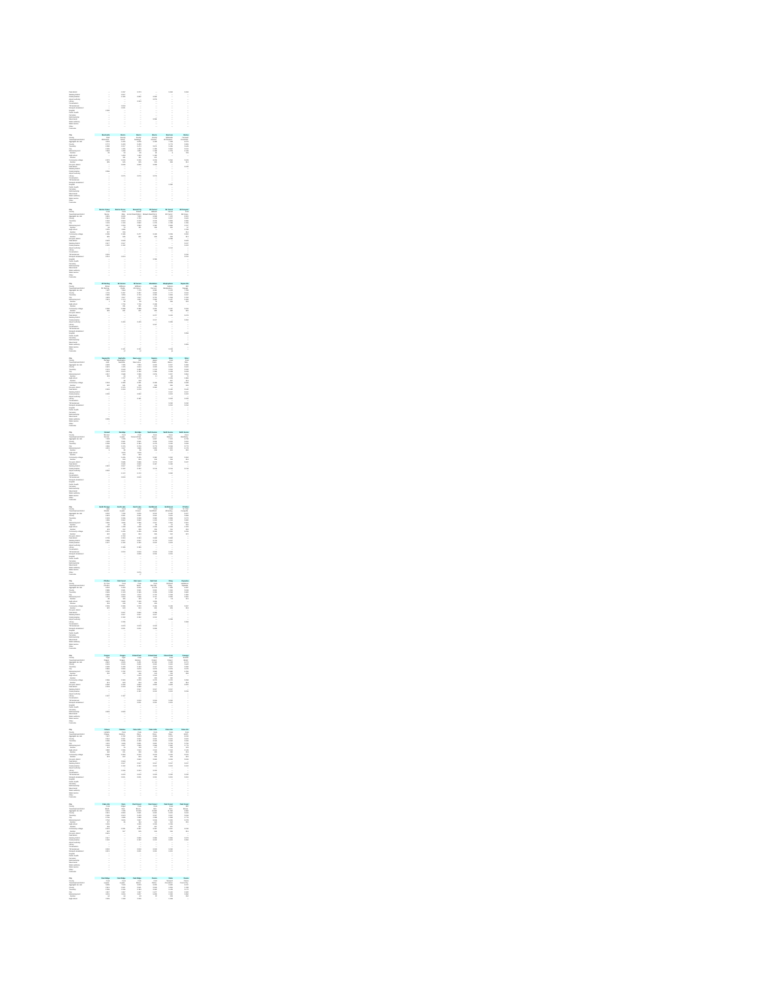|                                                                                  |                                                                                                                                                                                                                                  |                                                                                                                                                                                                                                | 112   123   123   123   123   123   123   123   123   123   123   123   123   123   123   123   123   123   12 | $\frac{1}{2}$ |                                                                                                                                                                                                                                 |                                                                                    |
|----------------------------------------------------------------------------------|----------------------------------------------------------------------------------------------------------------------------------------------------------------------------------------------------------------------------------|--------------------------------------------------------------------------------------------------------------------------------------------------------------------------------------------------------------------------------|----------------------------------------------------------------------------------------------------------------|---------------|---------------------------------------------------------------------------------------------------------------------------------------------------------------------------------------------------------------------------------|------------------------------------------------------------------------------------|
|                                                                                  |                                                                                                                                                                                                                                  |                                                                                                                                                                                                                                |                                                                                                                |               |                                                                                                                                                                                                                                 |                                                                                    |
|                                                                                  |                                                                                                                                                                                                                                  |                                                                                                                                                                                                                                |                                                                                                                |               |                                                                                                                                                                                                                                 |                                                                                    |
|                                                                                  |                                                                                                                                                                                                                                  |                                                                                                                                                                                                                                |                                                                                                                |               |                                                                                                                                                                                                                                 |                                                                                    |
|                                                                                  |                                                                                                                                                                                                                                  |                                                                                                                                                                                                                                |                                                                                                                |               |                                                                                                                                                                                                                                 |                                                                                    |
| "我们的时候,你们的时候,我们的时候,我们的时候,我们的时候,我们的时候,我们的时候,我们的时候,我们的时候,我们的时候,我们的时候,我们的时候,我们的时候,我 |                                                                                                                                                                                                                                  | Thuman and the community of the control of the control of the community of the control of the control of the control of the control of the control of the control of the control of the control of the control of the control  |                                                                                                                |               | $\sim$ . The construction of the construction of the construction of the construction of the construction of the construction of the construction of the construction of the construction of the construction of the constructi |                                                                                    |
|                                                                                  |                                                                                                                                                                                                                                  |                                                                                                                                                                                                                                |                                                                                                                |               |                                                                                                                                                                                                                                 |                                                                                    |
|                                                                                  |                                                                                                                                                                                                                                  | 看见了,我想说了,"你,我的话,我们,我们的话,我们就是我们,我们,我们,我们,我们就是我们的话,我们的话,我们就是我们的话,我们的话,我们,我们……………………                                                                                                                                              |                                                                                                                |               |                                                                                                                                                                                                                                 |                                                                                    |
|                                                                                  |                                                                                                                                                                                                                                  |                                                                                                                                                                                                                                |                                                                                                                |               |                                                                                                                                                                                                                                 |                                                                                    |
|                                                                                  | 19. 1999 - 1999 - 1999 - 1999 - 1999 - 1999 - 1999 - 1999 - 1999 - 1999 - 1999 - 1999 - 1999 - 1999 - 1999 - 1<br>De feranse de la partie de la partie de la partie de la partie de la partie de la partie de la partie de la pa | NEWSLETCH STATES OF THE STATES OF THE STATES OF THE STATES OF THE STATES OF THE STATES OF THE STATES OF THE STATES OF THE STATES OF THE STATES OF THE STATES OF THE STATES OF THE STATES OF THE STATES OF THE STATES OF THE ST |                                                                                                                |               | 事,不是我们的问题,我们的问题,我们的问题,我们的问题,我们的问题,我们的问题,我们的问题,我们的问题,我们的问题,我们的问题,我们的问题,我们的问题,我们的问题,我们                                                                                                                                            | 看看,我的问题,我的话,我们一样,我们一样,我们就会不会感觉到,我们的话,我们一样,我们的话,我们就会不会不会。"我们,我们的话,我们的话,我们的话,我们的话,我们 |
| F HOMOGRAPHY HOMOGRAPHY HOMOGRAPH                                                |                                                                                                                                                                                                                                  |                                                                                                                                                                                                                                |                                                                                                                |               |                                                                                                                                                                                                                                 |                                                                                    |
|                                                                                  |                                                                                                                                                                                                                                  |                                                                                                                                                                                                                                |                                                                                                                |               |                                                                                                                                                                                                                                 |                                                                                    |
|                                                                                  | 1                                                                                                                                                                                                                                | i.na                                                                                                                                                                                                                           |                                                                                                                |               |                                                                                                                                                                                                                                 |                                                                                    |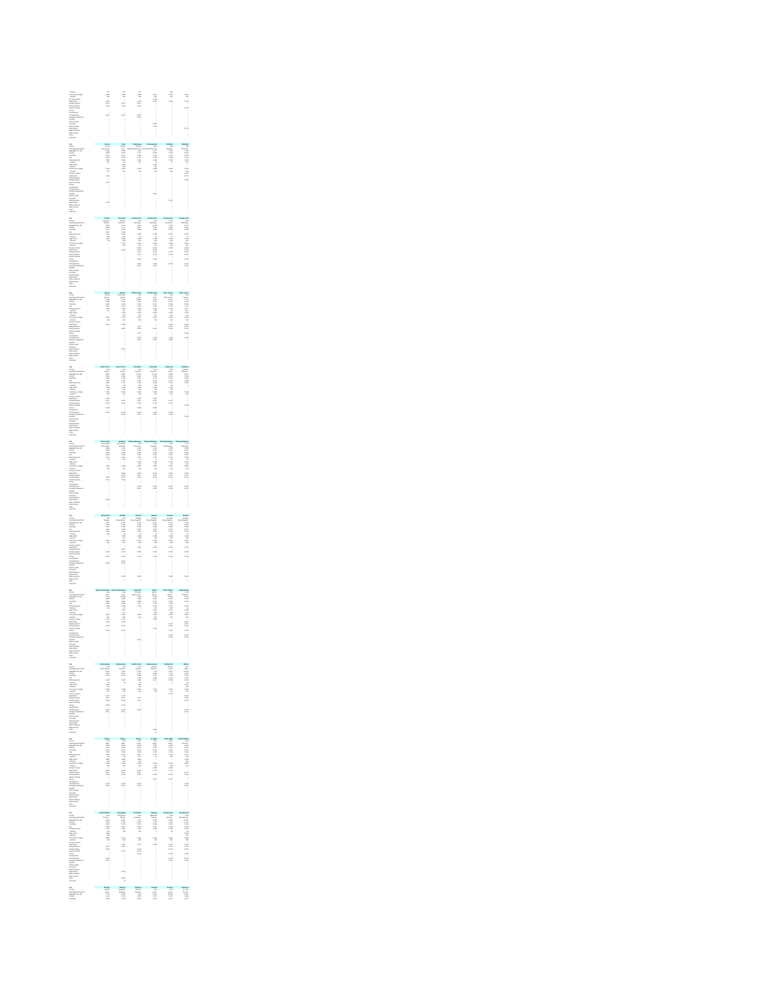|                                                                                                                |                                                                                                                |                                                                                                                                                                                                                                | <b>222</b> 1222 1123 1124 1125 1227                                                                                                                                                                                        |                                                                                                               | <b>1999</b>                                                                                                                                                                                                              |  |
|----------------------------------------------------------------------------------------------------------------|----------------------------------------------------------------------------------------------------------------|--------------------------------------------------------------------------------------------------------------------------------------------------------------------------------------------------------------------------------|----------------------------------------------------------------------------------------------------------------------------------------------------------------------------------------------------------------------------|---------------------------------------------------------------------------------------------------------------|--------------------------------------------------------------------------------------------------------------------------------------------------------------------------------------------------------------------------|--|
|                                                                                                                |                                                                                                                |                                                                                                                                                                                                                                |                                                                                                                                                                                                                            |                                                                                                               |                                                                                                                                                                                                                          |  |
|                                                                                                                |                                                                                                                | 2.000 million and the contract of the second contract of the contract of the contract of the contract of the contract of the contract of the contract of the contract of the contract of the contract of the contract of the c |                                                                                                                                                                                                                            |                                                                                                               | $\frac{1}{2}$ $\frac{1}{2}$ $\frac{1}{2}$ $\frac{1}{2}$ $\frac{1}{2}$ $\frac{1}{2}$ $\frac{1}{2}$ $\cdots$ $\frac{1}{2}$ $\cdots$ $\frac{1}{2}$ $\cdots$ $\frac{1}{2}$ $\cdots$ $\cdots$ $\frac{1}{2}$ $\cdots$ $\cdots$ |  |
| r soleting and the company of the company of the company of the company of the company of the company of the c |                                                                                                                |                                                                                                                                                                                                                                |                                                                                                                                                                                                                            |                                                                                                               |                                                                                                                                                                                                                          |  |
|                                                                                                                |                                                                                                                |                                                                                                                                                                                                                                |                                                                                                                                                                                                                            |                                                                                                               |                                                                                                                                                                                                                          |  |
|                                                                                                                |                                                                                                                |                                                                                                                                                                                                                                | 【【图】 【图】 【图】 】 【图】 】 【图】 】 【图】 】 【图】 】 【图】 】 【图】 】 【图】 】 【图】 】 【图】 】 【图】 】 【图】 】 【图】 】 【图】 】 【图】 】 【图】 】 【图】 】 【图】 】 【图】 】 【图】 】 【图】 】 【图】 】 【图】 】 【图】 】 【图】 】 【图】 】 【图】 】 【图】 】 【图】 】 【图】 】 【图】 】 【图】 】 【图】 】 【图】 】 【图】 】 |                                                                                                               |                                                                                                                                                                                                                          |  |
|                                                                                                                |                                                                                                                |                                                                                                                                                                                                                                |                                                                                                                                                                                                                            |                                                                                                               |                                                                                                                                                                                                                          |  |
|                                                                                                                |                                                                                                                |                                                                                                                                                                                                                                |                                                                                                                                                                                                                            |                                                                                                               |                                                                                                                                                                                                                          |  |
|                                                                                                                |                                                                                                                |                                                                                                                                                                                                                                |                                                                                                                                                                                                                            |                                                                                                               |                                                                                                                                                                                                                          |  |
|                                                                                                                | www.com.ch.teath.com.ch.teath.com.ch.teath.com.ch.teath.com.ch.ch.ch.ch.teath.com.ch.teath.com.ch.teath.com.ch |                                                                                                                                                                                                                                |                                                                                                                                                                                                                            | ,"我们不是,我们的时候,我们的时候,我们的时候,我们的时候就会在这里,我们的时候,我们的时候,我们的时候,我们的时候,我们的时候,我们的时候,我们的时候,我们也                             | 1988888888888888888888888                                                                                                                                                                                                |  |
|                                                                                                                |                                                                                                                |                                                                                                                                                                                                                                |                                                                                                                                                                                                                            |                                                                                                               |                                                                                                                                                                                                                          |  |
|                                                                                                                |                                                                                                                |                                                                                                                                                                                                                                |                                                                                                                                                                                                                            |                                                                                                               |                                                                                                                                                                                                                          |  |
|                                                                                                                |                                                                                                                | <b>THE LEADS OF A CONSULTANT CONTRACTOR OF A CONSULTANT CONTRACTOR</b>                                                                                                                                                         |                                                                                                                                                                                                                            | 1989 - 1988 - 1989 - 1989 - 1989 - 1989 - 1989 - 1989 - 1989 - 1989 - 1989 - 1989 - 1980 - 1980 - 1980 - 1980 |                                                                                                                                                                                                                          |  |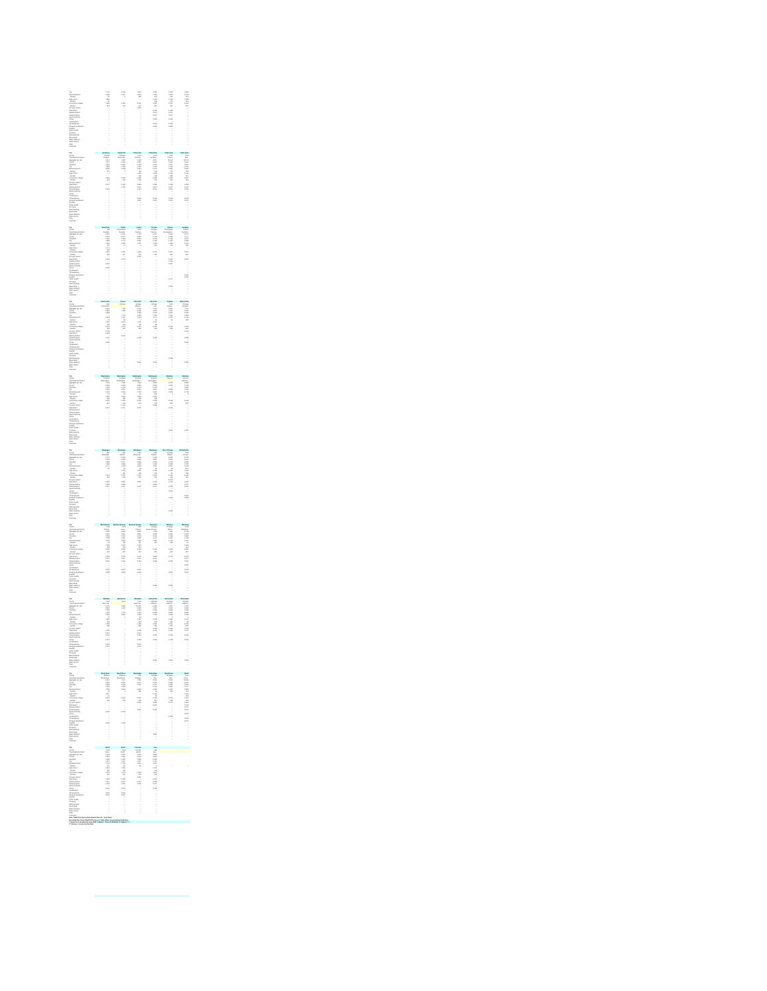| e politika na koto kontroliko katika katika katika katika katika katika katika katika katika katika katika kat | الملاسمين أللقون مداسيس المقومات والمتماسية والمتعاشرين والقواني والموارد والموارد والمستقر والمستقر المتعارضين والمستقر المتحدة                                                                                              |                                                                                                                                                                                                                              |                                                                        | المتماسي والمستقط والمسابير والمسابي والمسابير والمسابير والمسابير والمستقطع والمسابيع والمسابيع والمسابق والمستقطع | stassistemi (kanadi kanadi kanadi kanadi kanadi kanadi kanadi kanadi kanadi kanadi kanadi kanadi kanadi kanadi |
|----------------------------------------------------------------------------------------------------------------|-------------------------------------------------------------------------------------------------------------------------------------------------------------------------------------------------------------------------------|------------------------------------------------------------------------------------------------------------------------------------------------------------------------------------------------------------------------------|------------------------------------------------------------------------|---------------------------------------------------------------------------------------------------------------------|----------------------------------------------------------------------------------------------------------------|
|                                                                                                                | 1999年,1999年,1999年,1999年,1999年,1999年,1999年,1999年,1999年,1999年,1999年,1999年,1999年,1999年,1999年,1999年,1999年,1999年,1999年,1999年,1999年,1999年,1999年,1999年,1999年,1999年,1999年,1999年,1999年,1999年,1999年,1999年,1999年,1999年,1999年,1999年,1999年 |                                                                                                                                                                                                                              |                                                                        |                                                                                                                     |                                                                                                                |
|                                                                                                                |                                                                                                                                                                                                                               | 불부 중국의 19 년 - 개월 20일 - 19 년 - 19 년 - 19 년 - 19 년 - 19 년 - 19 년 - 19 년 - 19 년 - 19 년 - 19 년 - 19 년 - 19 년 - 19 년 - 19 년 - 19 년 - 19 년 - 19 년 - 19 년 - 19 년 - 19 년 - 19 년 - 19 년 - 19 년 - 19 년 - 19 년 - 19 년 - 19 년 - 19 년 - 1 | <b>PARAMENTERS PARAMENTERS REGISTERS REGISTERS REGISTERS REGISTERS</b> |                                                                                                                     |                                                                                                                |

**(\* Based On A Residential Home With A Market Value Of \$100,000. (\*\* Highest = 1 (\*\* Moraine - Previously Deerfield**